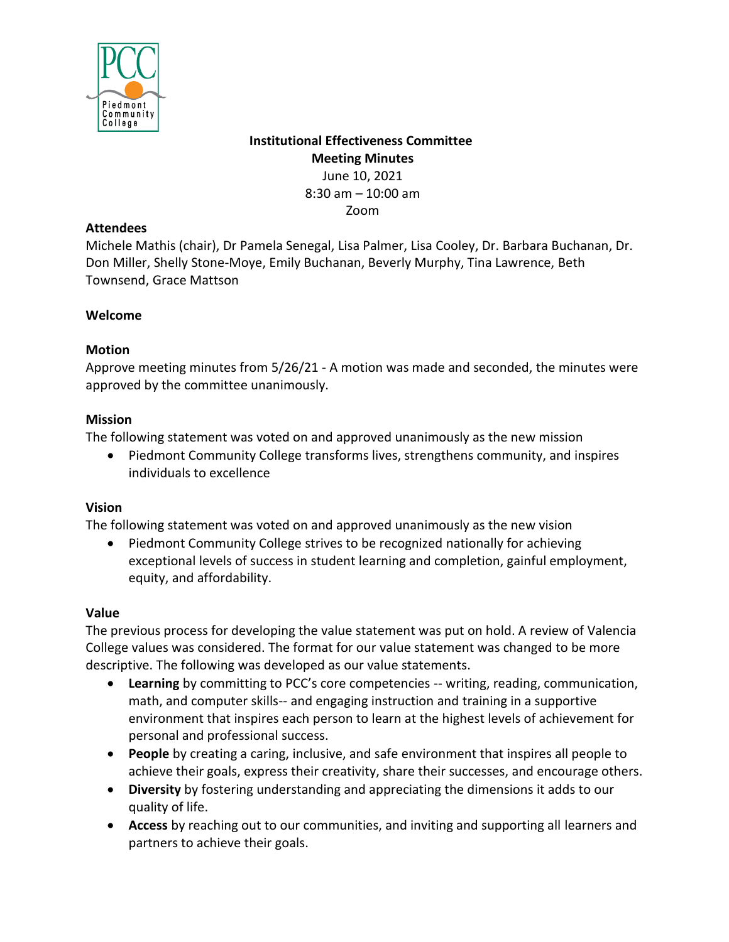

**Institutional Effectiveness Committee Meeting Minutes** June 10, 2021 8:30 am – 10:00 am

Zoom

### **Attendees**

Michele Mathis (chair), Dr Pamela Senegal, Lisa Palmer, Lisa Cooley, Dr. Barbara Buchanan, Dr. Don Miller, Shelly Stone-Moye, Emily Buchanan, Beverly Murphy, Tina Lawrence, Beth Townsend, Grace Mattson

## **Welcome**

# **Motion**

Approve meeting minutes from 5/26/21 - A motion was made and seconded, the minutes were approved by the committee unanimously.

## **Mission**

The following statement was voted on and approved unanimously as the new mission

• Piedmont Community College transforms lives, strengthens community, and inspires individuals to excellence

# **Vision**

The following statement was voted on and approved unanimously as the new vision

• Piedmont Community College strives to be recognized nationally for achieving exceptional levels of success in student learning and completion, gainful employment, equity, and affordability.

# **Value**

The previous process for developing the value statement was put on hold. A review of Valencia College values was considered. The format for our value statement was changed to be more descriptive. The following was developed as our value statements.

- **Learning** by committing to PCC's core competencies -- writing, reading, communication, math, and computer skills-- and engaging instruction and training in a supportive environment that inspires each person to learn at the highest levels of achievement for personal and professional success.
- **People** by creating a caring, inclusive, and safe environment that inspires all people to achieve their goals, express their creativity, share their successes, and encourage others.
- **Diversity** by fostering understanding and appreciating the dimensions it adds to our quality of life.
- **Access** by reaching out to our communities, and inviting and supporting all learners and partners to achieve their goals.